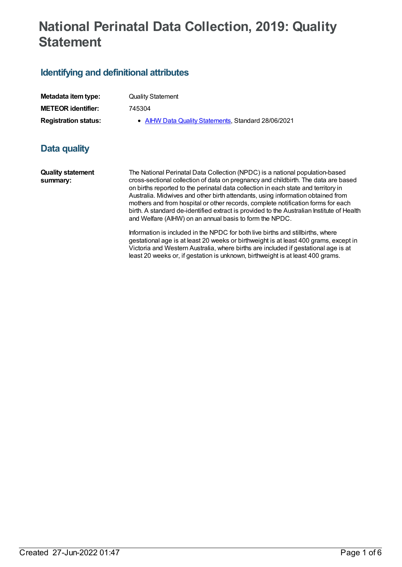# **National Perinatal Data Collection, 2019: Quality Statement**

## **Identifying and definitional attributes**

| Metadata item type:         | <b>Quality Statement</b>                            |
|-----------------------------|-----------------------------------------------------|
| <b>METEOR identifier:</b>   | 745304                                              |
| <b>Registration status:</b> | • AIHW Data Quality Statements, Standard 28/06/2021 |
|                             |                                                     |

## **Data quality**

**Quality statement**

**summary:**

The National Perinatal Data Collection (NPDC) is a national population-based cross-sectional collection of data on pregnancy and childbirth. The data are based on births reported to the perinatal data collection in each state and territory in Australia. Midwives and other birth attendants, using information obtained from mothers and from hospital or other records, complete notification forms for each birth. A standard de-identified extract is provided to the Australian Institute of Health and Welfare (AIHW) on an annual basis to form the NPDC.

Information is included in the NPDC for both live births and stillbirths, where gestational age is at least 20 weeks or birthweight is at least 400 grams, except in Victoria and Western Australia, where births are included if gestational age is at least 20 weeks or, if gestation is unknown, birthweight is at least 400 grams.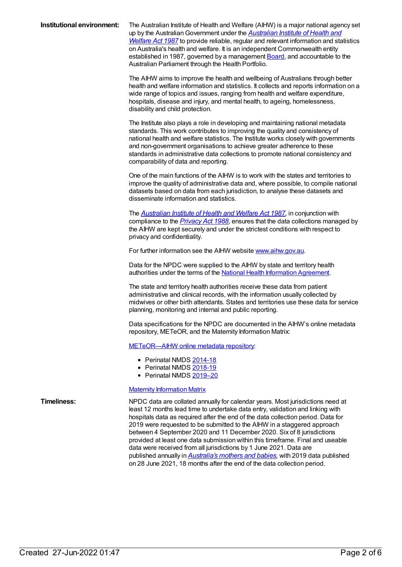**Institutional environment:** The Australian Institute of Health and Welfare (AIHW) is a major national agency set up by the [AustralianGovernment](http://www.comlaw.gov.au/Series/C2004A03450) under the *Australian Institute of Health and Welfare Act 1987* to provide reliable, regular and relevant information and statistics on Australia's health and welfare. It is an independent Commonwealth entity established in 1987, governed by a management [Board](http://www.aihw.gov.au/aihw-board/), and accountable to the Australian Parliament through the Health Portfolio.

> The AIHW aims to improve the health and wellbeing of Australians through better health and welfare information and statistics. It collects and reports information on a wide range of topics and issues, ranging from health and welfare expenditure, hospitals, disease and injury, and mental health, to ageing, homelessness, disability and child protection.

The Institute also plays a role in developing and maintaining national metadata standards. This work contributes to improving the quality and consistency of national health and welfare statistics. The Institute works closely with governments and non-government organisations to achieve greater adherence to these standards in administrative data collections to promote national consistency and comparability of data and reporting.

One of the main functions of the AIHW is to work with the states and territories to improve the quality of administrative data and, where possible, to compile national datasets based on data from each jurisdiction, to analyse these datasets and disseminate information and statistics.

The *[Australian](http://www.comlaw.gov.au/Series/C2004A03450) Institute of Health and Welfare Act 1987*, in conjunction with compliance to the *[Privacy](https://www.legislation.gov.au/Series/C2004A03712) Act 1988*, ensures that the data collections managed by the AIHW are kept securely and under the strictest conditions with respect to privacy and confidentiality.

For further information see the AIHW website [www.aihw.gov.au](http://www.aihw.gov.au/).

Data for the NPDC were supplied to the AIHW by state and territory health authorities under the terms of the National Health [Information](file:///content/182135) Agreement.

The state and territory health authorities receive these data from patient administrative and clinical records, with the information usually collected by midwives or other birth attendants. States and territories use these data for service planning, monitoring and internal and public reporting.

Data specifications for the NPDC are documented in the AIHW's online metadata repository, METeOR, and the Maternity Information Matrix:

[METeOR—AIHW](file:///content/181162) online metadata repository:

- Perinatal NMDS [2014-18](file:///content/517456)
- Perinatal NMDS [2018-19](file:///content/668811)
- Perinatal NMDS 2019-20

#### Maternity [Information](http://maternitymatrix.aihw.gov.au/) Matrix

**Timeliness:** NPDC data are collated annually for calendar years. Most jurisdictions need at least 12 months lead time to undertake data entry, validation and linking with hospitals data as required after the end of the data collection period. Data for 2019 were requested to be submitted to the AIHW in a staggered approach between 4 September 2020 and 11 December 2020. Six of 8 jurisdictions provided at least one data submission within this timeframe. Final and useable data were received from all jurisdictions by 1 June 2021. Data are published annually in *[Australia's](https://www.aihw.gov.au/reports/mothers-babies/australias-mothers-babies/contents/summary) mothers and babies,* with 2019 data published on 28 June 2021, 18 months after the end of the data collection period.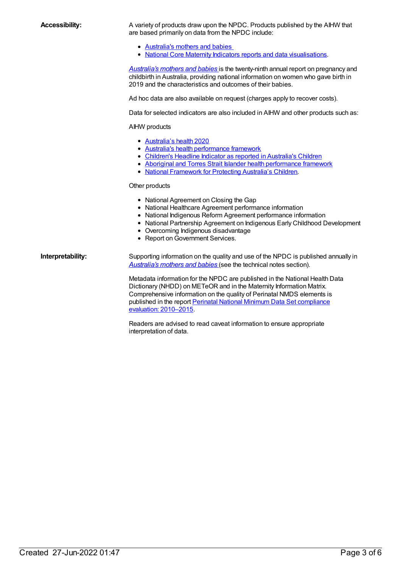**Accessibility:** A variety of products draw upon the NPDC. Products published by the AIHW that are based primarily on data from the NPDC include:

- [Australia's](https://www.aihw.gov.au/reports/mothers-babies/australias-mothers-babies/contents/summary) mothers and babies
- National Core Maternity Indicators reports and data [visualisations](http://www.aihw.gov.au/reports/mothers-babies/ncmi-data-visualisations).

*[Australia's](https://www.aihw.gov.au/reports/mothers-babies/australias-mothers-babies/contents/summary) mothers and babies* is the twenty-ninth annual report on pregnancy and childbirth in Australia, providing national information on women who gave birth in 2019 and the characteristics and outcomes of their babies.

Ad hoc data are also available on request (charges apply to recover costs).

Data for selected indicators are also included in AIHW and other products such as:

AIHW products

- [Australia's](https://www.aihw.gov.au/reports-data/australias-health) health 2020
- Australia's health [performance](http://www.aihw.gov.au/reports-data/australias-health-performance/australias-health-performance-framework) framework
- Children's Headline Indicator as reported in [Australia's](https://www.aihw.gov.au/reports/children-youth/australias-children/contents/background/introduction) Children
- Aboriginal and Torres Strait Islander health [performance](https://www.aihw.gov.au/reports/indigenous-australians/health-performance-framework/contents/overview) framework
- National [Framework](https://www.aihw.gov.au/reports/child-protection/nfpac/contents/summary) for Protecting Australia's Children.

Other products

- National Agreement on Closing the Gap
- National Healthcare Agreement performance information
- National Indigenous Reform Agreement performance information
- National Partnership Agreement on Indigenous Early Childhood Development
- Overcoming Indigenous disadvantage
- Report on Government Services.

**Interpretability:** Supporting information on the quality and use of the NPDC is published annually in *[Australia's](https://www.aihw.gov.au/reports/mothers-babies/australias-mothers-babies/contents/technical-notes/data-sources) mothers and babies* (see the technical notes section).

> Metadata information for the NPDC are published in the National Health Data Dictionary (NHDD) on METeOR and in the Maternity Information Matrix. Comprehensive information on the quality of Perinatal NMDS elements is published in the report Perinatal National Minimum Data Set [compliance](https://www.aihw.gov.au/reports/mothers-babies/perinatal-national-minimum-data-set-compliance-eva) evaluation: 2010–2015.

Readers are advised to read caveat information to ensure appropriate interpretation of data.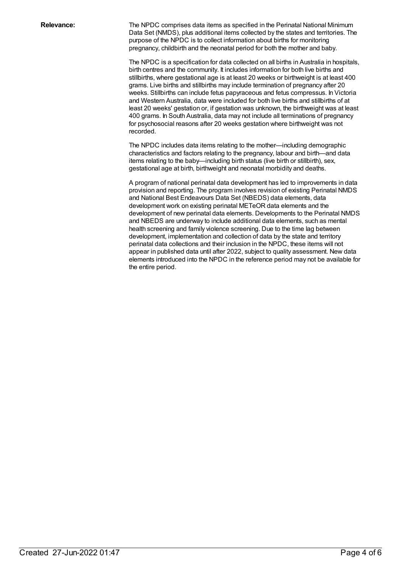**Relevance:** The NPDC comprises data items as specified in the Perinatal National Minimum Data Set (NMDS), plus additional items collected by the states and territories. The purpose of the NPDC is to collect information about births for monitoring pregnancy, childbirth and the neonatal period for both the mother and baby.

> The NPDC is a specification for data collected on all births in Australia in hospitals, birth centres and the community. It includes information for both live births and stillbirths, where gestational age is at least 20 weeks or birthweight is at least 400 grams. Live births and stillbirths may include termination of pregnancy after 20 weeks. Stillbirths can include fetus papyraceous and fetus compressus. In Victoria and Western Australia, data were included for both live births and stillbirths of at least 20 weeks' gestation or, if gestation was unknown, the birthweight was at least 400 grams. In South Australia, data may not include all terminations of pregnancy for psychosocial reasons after 20 weeks gestation where birthweight was not recorded.

The NPDC includes data items relating to the mother—including demographic characteristics and factors relating to the pregnancy, labour and birth—and data items relating to the baby—including birth status (live birth or stillbirth), sex, gestational age at birth, birthweight and neonatal morbidity and deaths.

A program of national perinatal data development has led to improvements in data provision and reporting. The program involves revision of existing Perinatal NMDS and National Best Endeavours Data Set (NBEDS) data elements, data development work on existing perinatal METeOR data elements and the development of new perinatal data elements. Developments to the Perinatal NMDS and NBEDS are underway to include additional data elements, such as mental health screening and family violence screening. Due to the time lag between development, implementation and collection of data by the state and territory perinatal data collections and their inclusion in the NPDC, these items will not appear in published data until after 2022, subject to quality assessment. New data elements introduced into the NPDC in the reference period may not be available for the entire period.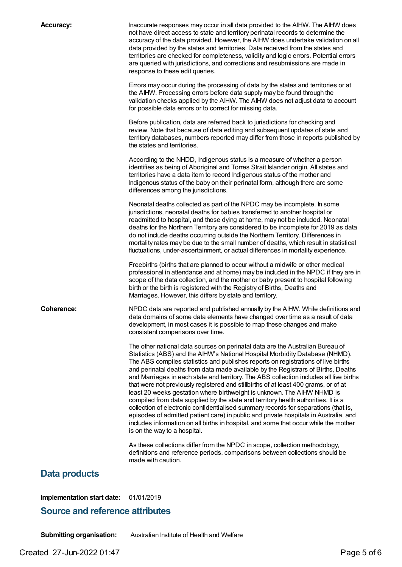**Accuracy:** Inaccurate responses may occur in all data provided to the AIHW. The AIHW does not have direct access to state and territory perinatal records to determine the accuracy of the data provided. However, the AIHW does undertake validation on all data provided by the states and territories. Data received from the states and territories are checked for completeness, validity and logic errors. Potential errors are queried with jurisdictions, and corrections and resubmissions are made in response to these edit queries.

> Errors may occur during the processing of data by the states and territories or at the AIHW. Processing errors before data supply may be found through the validation checks applied by the AIHW. The AIHW does not adjust data to account for possible data errors or to correct for missing data.

Before publication, data are referred back to jurisdictions for checking and review. Note that because of data editing and subsequent updates of state and territory databases, numbers reported may differ from those in reports published by the states and territories.

According to the NHDD, Indigenous status is a measure of whether a person identifies as being of Aboriginal and Torres Strait Islander origin. All states and territories have a data item to record Indigenous status of the mother and Indigenous status of the baby on their perinatal form, although there are some differences among the jurisdictions.

Neonatal deaths collected as part of the NPDC may be incomplete. In some jurisdictions, neonatal deaths for babies transferred to another hospital or readmitted to hospital, and those dying at home, may not be included. Neonatal deaths for the Northern Territory are considered to be incomplete for 2019 as data do not include deaths occurring outside the Northern Territory. Differences in mortality rates may be due to the small number of deaths, which result in statistical fluctuations, under-ascertainment, or actual differences in mortality experience.

Freebirths (births that are planned to occur without a midwife or other medical professional in attendance and at home) may be included in the NPDC if they are in scope of the data collection, and the mother or baby present to hospital following birth or the birth is registered with the Registry of Births, Deaths and Marriages. However, this differs by state and territory.

**Coherence:** NPDC data are reported and published annually by the AIHW. While definitions and data domains of some data elements have changed over time as a result of data development, in most cases it is possible to map these changes and make consistent comparisons over time.

> The other national data sources on perinatal data are the Australian Bureau of Statistics (ABS) and the AIHW's National Hospital Morbidity Database (NHMD). The ABS compiles statistics and publishes reports on registrations of live births and perinatal deaths from data made available by the Registrars of Births, Deaths and Marriages in each state and territory. The ABS collection includes all live births that were not previously registered and stillbirths of at least 400 grams, or of at least 20 weeks gestation where birthweight is unknown. The AIHW NHMD is compiled from data supplied by the state and territory health authorities. It is a collection of electronic confidentialised summary records for separations (that is, episodes of admitted patient care) in public and private hospitals in Australia, and includes information on all births in hospital, and some that occur while the mother is on the way to a hospital.

As these collections differ from the NPDC in scope, collection methodology, definitions and reference periods, comparisons between collections should be made with caution.

### **Data products**

**Implementation start date:** 01/01/2019

### **Source and reference attributes**

**Submitting organisation:** Australian Institute of Health and Welfare